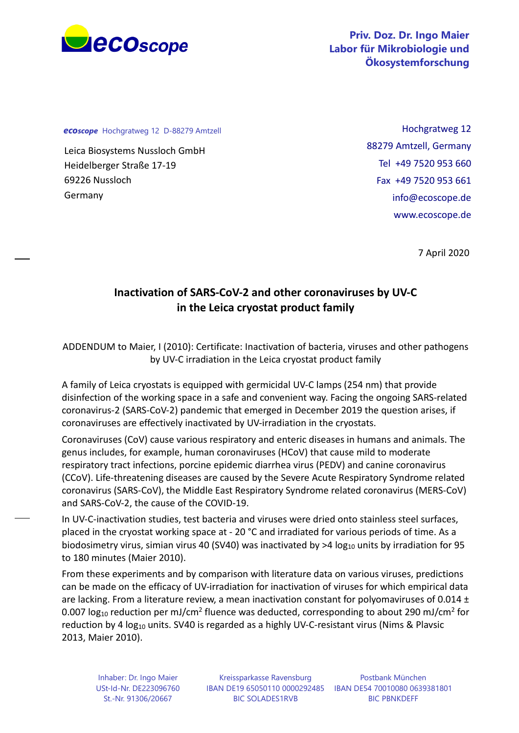

*ecoscope* Hochgratweg 12 D-88279 Amtzell

Leica Biosystems Nussloch GmbH Heidelberger Straße 17-19 69226 Nussloch Germany

Hochgratweg 12 88279 Amtzell, Germany Tel +49 7520 953 660 Fax +49 7520 953 661 info@ecoscope.de www.ecoscope.de

7 April 2020

## **Inactivation of SARS-CoV-2 and other coronaviruses by UV-C in the Leica cryostat product family**

ADDENDUM to Maier, I (2010): Certificate: Inactivation of bacteria, viruses and other pathogens by UV-C irradiation in the Leica cryostat product family

A family of Leica cryostats is equipped with germicidal UV-C lamps (254 nm) that provide disinfection of the working space in a safe and convenient way. Facing the ongoing SARS-related coronavirus-2 (SARS-CoV-2) pandemic that emerged in December 2019 the question arises, if coronaviruses are effectively inactivated by UV-irradiation in the cryostats.

Coronaviruses (CoV) cause various respiratory and enteric diseases in humans and animals. The genus includes, for example, human coronaviruses (HCoV) that cause mild to moderate respiratory tract infections, porcine epidemic diarrhea virus (PEDV) and canine coronavirus (CCoV). Life-threatening diseases are caused by the Severe Acute Respiratory Syndrome related coronavirus (SARS-CoV), the Middle East Respiratory Syndrome related coronavirus (MERS-CoV) and SARS-CoV-2, the cause of the COVID-19.

In UV-C-inactivation studies, test bacteria and viruses were dried onto stainless steel surfaces, placed in the cryostat working space at - 20 °C and irradiated for various periods of time. As a biodosimetry virus, simian virus 40 (SV40) was inactivated by  $>4$  log<sub>10</sub> units by irradiation for 95 to 180 minutes (Maier 2010).

From these experiments and by comparison with literature data on various viruses, predictions can be made on the efficacy of UV-irradiation for inactivation of viruses for which empirical data are lacking. From a literature review, a mean inactivation constant for polyomaviruses of 0.014  $\pm$ 0.007  $log_{10}$  reduction per mJ/cm<sup>2</sup> fluence was deducted, corresponding to about 290 mJ/cm<sup>2</sup> for reduction by 4  $log_{10}$  units. SV40 is regarded as a highly UV-C-resistant virus (Nims & Plavsic 2013, Maier 2010).

Inhaber: Dr. Ingo Maier USt-Id-Nr. DE223096760 St.-Nr. 91306/20667

Kreissparkasse Ravensburg IBAN DE19 65050110 0000292485 IBAN DE54 70010080 0639381801 BIC SOLADES1RVB

Postbank München BIC PBNKDEFF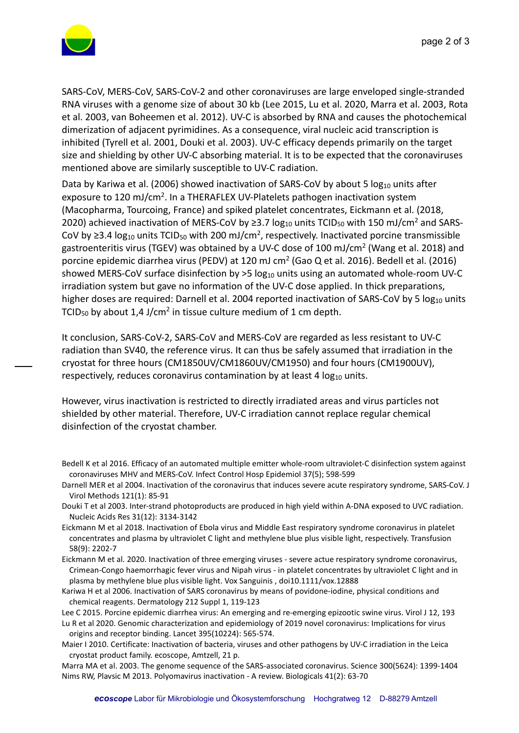

SARS-CoV, MERS-CoV, SARS-CoV-2 and other coronaviruses are large enveloped single-stranded RNA viruses with a genome size of about 30 kb (Lee 2015, Lu et al. 2020, Marra et al. 2003, Rota et al. 2003, van Boheemen et al. 2012). UV-C is absorbed by RNA and causes the photochemical dimerization of adjacent pyrimidines. As a consequence, viral nucleic acid transcription is inhibited (Tyrell et al. 2001, Douki et al. 2003). UV-C efficacy depends primarily on the target size and shielding by other UV-C absorbing material. It is to be expected that the coronaviruses mentioned above are similarly susceptible to UV-C radiation.

Data by Kariwa et al. (2006) showed inactivation of SARS-CoV by about 5  $log_{10}$  units after exposure to 120 mJ/cm2. In a THERAFLEX UV-Platelets pathogen inactivation system (Macopharma, Tourcoing, France) and spiked platelet concentrates, Eickmann et al. (2018, 2020) achieved inactivation of MERS-CoV by  $\geq$ 3.7 log<sub>10</sub> units TCID<sub>50</sub> with 150 mJ/cm<sup>2</sup> and SARS-CoV by ≥3.4 log<sub>10</sub> units TCID<sub>50</sub> with 200 mJ/cm<sup>2</sup>, respectively. Inactivated porcine transmissible gastroenteritis virus (TGEV) was obtained by a UV-C dose of 100 mJ/cm2 (Wang et al. 2018) and porcine epidemic diarrhea virus (PEDV) at 120 mJ cm2 (Gao Q et al. 2016). Bedell et al. (2016) showed MERS-CoV surface disinfection by >5 log<sub>10</sub> units using an automated whole-room UV-C irradiation system but gave no information of the UV-C dose applied. In thick preparations, higher doses are required: Darnell et al. 2004 reported inactivation of SARS-CoV by 5 log<sub>10</sub> units TCID<sub>50</sub> by about 1,4 J/cm<sup>2</sup> in tissue culture medium of 1 cm depth.

It conclusion, SARS-CoV-2, SARS-CoV and MERS-CoV are regarded as less resistant to UV-C radiation than SV40, the reference virus. It can thus be safely assumed that irradiation in the cryostat for three hours (CM1850UV/CM1860UV/CM1950) and four hours (CM1900UV), respectively, reduces coronavirus contamination by at least 4  $log<sub>10</sub>$  units.

However, virus inactivation is restricted to directly irradiated areas and virus particles not shielded by other material. Therefore, UV-C irradiation cannot replace regular chemical disinfection of the cryostat chamber.

Darnell MER et al 2004. Inactivation of the coronavirus that induces severe acute respiratory syndrome, SARS-CoV. J Virol Methods 121(1): 85-91

Douki T et al 2003. Inter-strand photoproducts are produced in high yield within A-DNA exposed to UVC radiation. Nucleic Acids Res 31(12): 3134-3142

Eickmann M et al 2018. Inactivation of Ebola virus and Middle East respiratory syndrome coronavirus in platelet concentrates and plasma by ultraviolet C light and methylene blue plus visible light, respectively. Transfusion 58(9): 2202-7

Eickmann M et al. 2020. Inactivation of three emerging viruses - severe actue respiratory syndrome coronavirus, Crimean-Congo haemorrhagic fever virus and Nipah virus - in platelet concentrates by ultraviolet C light and in plasma by methylene blue plus visible light. Vox Sanguinis , doi10.1111/vox.12888

Kariwa H et al 2006. Inactivation of SARS coronavirus by means of povidone-iodine, physical conditions and chemical reagents. Dermatology 212 Suppl 1, 119-123

Lee C 2015. Porcine epidemic diarrhea virus: An emerging and re-emerging epizootic swine virus. Virol J 12, 193 Lu R et al 2020. Genomic characterization and epidemiology of 2019 novel coronavirus: Implications for virus origins and receptor binding. Lancet 395(10224): 565-574.

Maier I 2010. Certificate: Inactivation of bacteria, viruses and other pathogens by UV-C irradiation in the Leica cryostat product family. ecoscope, Amtzell, 21 p.

Marra MA et al. 2003. The genome sequence of the SARS-associated coronavirus. Science 300(5624): 1399-1404 Nims RW, Plavsic M 2013. Polyomavirus inactivation - A review. Biologicals 41(2): 63-70

Bedell K et al 2016. Efficacy of an automated multiple emitter whole-room ultraviolet-C disinfection system against coronaviruses MHV and MERS-CoV. Infect Control Hosp Epidemiol 37(5); 598-599